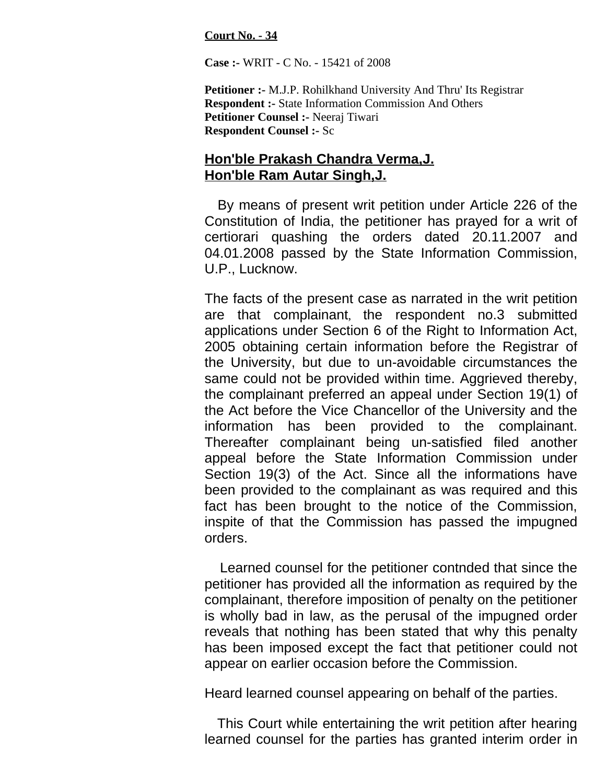**Court No. - 34**

**Case :-** WRIT - C No. - 15421 of 2008

**Petitioner :-** M.J.P. Rohilkhand University And Thru' Its Registrar **Respondent :-** State Information Commission And Others **Petitioner Counsel :-** Neeraj Tiwari **Respondent Counsel :-** Sc

## **Hon'ble Prakash Chandra Verma,J. Hon'ble Ram Autar Singh,J.**

By means of present writ petition under Article 226 of the Constitution of India, the petitioner has prayed for a writ of certiorari quashing the orders dated 20.11.2007 and 04.01.2008 passed by the State Information Commission, U.P., Lucknow.

The facts of the present case as narrated in the writ petition are that complainant, the respondent no.3 submitted applications under Section 6 of the Right to Information Act, 2005 obtaining certain information before the Registrar of the University, but due to un-avoidable circumstances the same could not be provided within time. Aggrieved thereby, the complainant preferred an appeal under Section 19(1) of the Act before the Vice Chancellor of the University and the information has been provided to the complainant. Thereafter complainant being un-satisfied filed another appeal before the State Information Commission under Section 19(3) of the Act. Since all the informations have been provided to the complainant as was required and this fact has been brought to the notice of the Commission, inspite of that the Commission has passed the impugned orders.

Learned counsel for the petitioner contnded that since the petitioner has provided all the information as required by the complainant, therefore imposition of penalty on the petitioner is wholly bad in law, as the perusal of the impugned order reveals that nothing has been stated that why this penalty has been imposed except the fact that petitioner could not appear on earlier occasion before the Commission.

Heard learned counsel appearing on behalf of the parties.

This Court while entertaining the writ petition after hearing learned counsel for the parties has granted interim order in